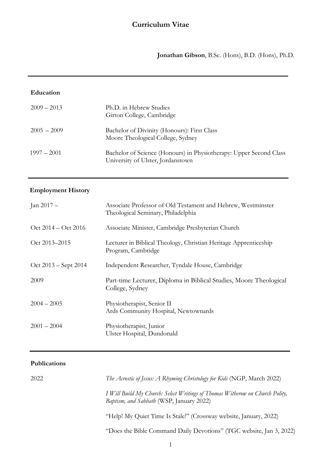**Jonathan Gibson**, B.Sc. (Hons), B.D. (Hons), Ph.D.

j

#### **Education**

| $2009 - 2013$ | Ph.D. in Hebrew Studies<br>Girton College, Cambridge                                                    |
|---------------|---------------------------------------------------------------------------------------------------------|
| $2005 - 2009$ | Bachelor of Divinity (Honours): First Class<br>Moore Theological College, Sydney                        |
| $1997 - 2001$ | Bachelor of Science (Honours) in Physiotherapy: Upper Second Class<br>University of Ulster, Jordanstown |

### **Employment History**

| Jan 2017 –             | Associate Professor of Old Testament and Hebrew, Westminster<br>Theological Seminary, Philadelphia |
|------------------------|----------------------------------------------------------------------------------------------------|
| $Oct$ 2014 – Oct 2016  | Associate Minister, Cambridge Presbyterian Church                                                  |
| Oct 2013-2015          | Lecturer in Biblical Theology, Christian Heritage Apprenticeship<br>Program, Cambridge             |
| $Oct 2013 - Sept 2014$ | Independent Researcher, Tyndale House, Cambridge                                                   |
| 2009                   | Part-time Lecturer, Diploma in Biblical Studies, Moore Theological<br>College, Sydney              |
| $2004 - 2005$          | Physiotherapist, Senior II<br>Ards Community Hospital, Newtownards                                 |
| $2001 - 2004$          | Physiotherapist, Junior<br>Ulster Hospital, Dundonald                                              |

### **Publications**

| 2022 | The Acrostic of Jesus: A Rhyming Christology for Kids (NGP, March 2022)                                                         |
|------|---------------------------------------------------------------------------------------------------------------------------------|
|      | I Will Build My Church: Select Writings of Thomas Witherow on Church Polity,<br><i>Baptism, and Sabbath</i> (WSP, January 2022) |
|      | "Help! My Quiet Time Is Stale!" (Crossway website, January, 2022)                                                               |
|      | "Does the Bible Command Daily Devotions" (TGC website, Jan 3, 2022)                                                             |
|      |                                                                                                                                 |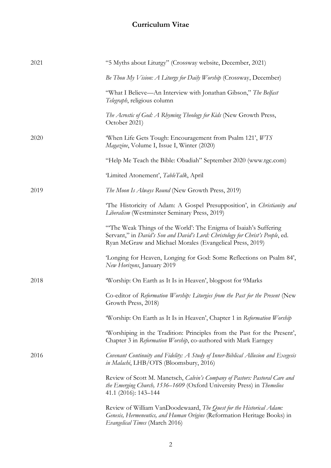| 2021 | "5 Myths about Liturgy" (Crossway website, December, 2021)                                                                                                                                                       |
|------|------------------------------------------------------------------------------------------------------------------------------------------------------------------------------------------------------------------|
|      | Be Thou My Vision: A Liturgy for Daily Worship (Crossway, December)                                                                                                                                              |
|      | "What I Believe—An Interview with Jonathan Gibson," The Belfast<br>Telegraph, religious column                                                                                                                   |
|      | The Acrostic of God: A Rhyming Theology for Kids (New Growth Press,<br>October 2021)                                                                                                                             |
| 2020 | 'When Life Gets Tough: Encouragement from Psalm 121', WTS<br>Magazine, Volume I, Issue I, Winter (2020)                                                                                                          |
|      | "Help Me Teach the Bible: Obadiah" September 2020 (www.tgc.com)                                                                                                                                                  |
|      | 'Limited Atonement', TableTalk, April                                                                                                                                                                            |
| 2019 | The Moon Is Always Round (New Growth Press, 2019)                                                                                                                                                                |
|      | "The Historicity of Adam: A Gospel Presupposition', in Christianity and<br>Liberalism (Westminster Seminary Press, 2019)                                                                                         |
|      | "The Weak Things of the World': The Enigma of Isaiah's Suffering<br>Servant," in David's Son and David's Lord: Christology for Christ's People, ed.<br>Ryan McGraw and Michael Morales (Evangelical Press, 2019) |
|      | 'Longing for Heaven, Longing for God: Some Reflections on Psalm 84',<br>New Horizons, January 2019                                                                                                               |
| 2018 | 'Worship: On Earth as It Is in Heaven', blogpost for 9Marks                                                                                                                                                      |
|      | Co-editor of Reformation Worship: Liturgies from the Past for the Present (New<br>Growth Press, 2018)                                                                                                            |
|      | 'Worship: On Earth as It Is in Heaven', Chapter 1 in Reformation Worship                                                                                                                                         |
|      | 'Worshiping in the Tradition: Principles from the Past for the Present',<br>Chapter 3 in Reformation Worship, co-authored with Mark Earngey                                                                      |
| 2016 | Covenant Continuity and Fidelity: A Study of Inner-Biblical Allusion and Exegesis<br>in Malachi, LHB/OTS (Bloomsbury, 2016)                                                                                      |
|      | Review of Scott M. Manetsch, Calvin's Company of Pastors: Pastoral Care and<br>the Emerging Church, 1536–1609 (Oxford University Press) in Themelios<br>41.1 (2016): 143-144                                     |
|      | Review of William VanDoodewaard, The Quest for the Historical Adam:<br>Genesis, Hermeneutics, and Human Origins (Reformation Heritage Books) in<br>Evangelical Times (March 2016)                                |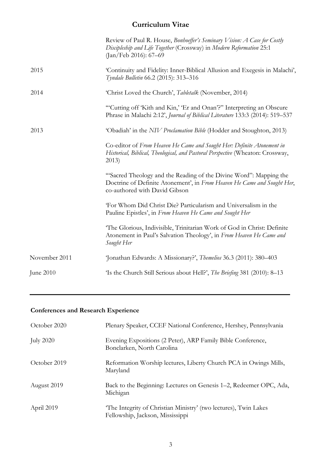|               | Review of Paul R. House, Bonhoeffer's Seminary Vision: A Case for Costly<br>Discipleship and Life Together (Crossway) in Modern Reformation 25:1<br>(Jan/Feb 2016): 67–69     |
|---------------|-------------------------------------------------------------------------------------------------------------------------------------------------------------------------------|
| 2015          | 'Continuity and Fidelity: Inner-Biblical Allusion and Exegesis in Malachi',<br>Tyndale Bulletin 66.2 (2015): 313-316                                                          |
| 2014          | 'Christ Loved the Church', Tabletalk (November, 2014)                                                                                                                         |
|               | "Cutting off 'Kith and Kin,' 'Er and Onan'?" Interpreting an Obscure<br>Phrase in Malachi 2:12', Journal of Biblical Literature 133:3 (2014): 519-537                         |
| 2013          | 'Obadiah' in the NIV Proclamation Bible (Hodder and Stoughton, 2013)                                                                                                          |
|               | Co-editor of From Heaven He Came and Sought Her: Definite Atonement in<br>Historical, Biblical, Theological, and Pastoral Perspective (Wheaton: Crossway,<br>2013)            |
|               | "Sacred Theology and the Reading of the Divine Word": Mapping the<br>Doctrine of Definite Atonement', in From Heaven He Came and Sought Her,<br>co-authored with David Gibson |
|               | 'For Whom Did Christ Die? Particularism and Universalism in the<br>Pauline Epistles', in From Heaven He Came and Sought Her                                                   |
|               | The Glorious, Indivisible, Trinitarian Work of God in Christ: Definite<br>Atonement in Paul's Salvation Theology', in From Heaven He Came and<br>Sought Her                   |
| November 2011 | 'Jonathan Edwards: A Missionary?', Themelios 36.3 (2011): 380-403                                                                                                             |
| June 2010     | 'Is the Church Still Serious about Hell?', The Briefing 381 (2010): 8–13                                                                                                      |
|               |                                                                                                                                                                               |

# **Conferences and Research Experience**

| October 2020     | Plenary Speaker, CCEF National Conference, Hershey, Pennsylvania                                     |
|------------------|------------------------------------------------------------------------------------------------------|
| <b>July 2020</b> | Evening Expositions (2 Peter), ARP Family Bible Conference,<br>Bonclarken, North Carolina            |
| October 2019     | Reformation Worship lectures, Liberty Church PCA in Owings Mills,<br>Maryland                        |
| August 2019      | Back to the Beginning: Lectures on Genesis 1–2, Redeemer OPC, Ada,<br>Michigan                       |
| April 2019       | 'The Integrity of Christian Ministry' (two lectures), Twin Lakes<br>Fellowship, Jackson, Mississippi |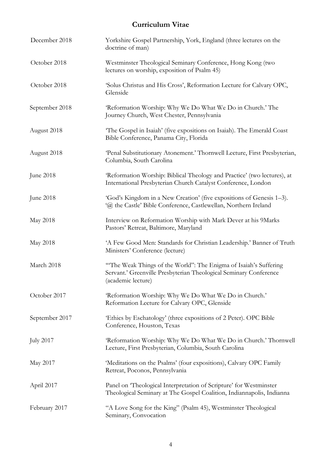| December 2018    | Yorkshire Gospel Partnership, York, England (three lectures on the<br>doctrine of man)                                                                      |
|------------------|-------------------------------------------------------------------------------------------------------------------------------------------------------------|
| October 2018     | Westminster Theological Seminary Conference, Hong Kong (two<br>lectures on worship, exposition of Psalm 45)                                                 |
| October 2018     | 'Solus Christus and His Cross', Reformation Lecture for Calvary OPC,<br>Glenside                                                                            |
| September 2018   | 'Reformation Worship: Why We Do What We Do in Church.' The<br>Journey Church, West Chester, Pennsylvania                                                    |
| August 2018      | The Gospel in Isaiah' (five expositions on Isaiah). The Emerald Coast<br>Bible Conference, Panama City, Florida                                             |
| August 2018      | 'Penal Substitutionary Atonement.' Thornwell Lecture, First Presbyterian,<br>Columbia, South Carolina                                                       |
| June 2018        | 'Reformation Worship: Biblical Theology and Practice' (two lectures), at<br>International Presbyterian Church Catalyst Conference, London                   |
| June 2018        | 'God's Kingdom in a New Creation' (five expositions of Genesis 1–3).<br>'@ the Castle' Bible Conference, Castlewellan, Northern Ireland                     |
| May 2018         | Interview on Reformation Worship with Mark Dever at his 9Marks<br>Pastors' Retreat, Baltimore, Maryland                                                     |
| May 2018         | 'A Few Good Men: Standards for Christian Leadership.' Banner of Truth<br>Ministers' Conference (lecture)                                                    |
| March 2018       | "The Weak Things of the World": The Enigma of Isaiah's Suffering<br>Servant.' Greenville Presbyterian Theological Seminary Conference<br>(academic lecture) |
| October 2017     | 'Reformation Worship: Why We Do What We Do in Church.'<br>Reformation Lecture for Calvary OPC, Glenside                                                     |
| September 2017   | 'Ethics by Eschatology' (three expositions of 2 Peter). OPC Bible<br>Conference, Houston, Texas                                                             |
| <b>July 2017</b> | 'Reformation Worship: Why We Do What We Do in Church.' Thornwell<br>Lecture, First Presbyterian, Columbia, South Carolina                                   |
| May 2017         | 'Meditations on the Psalms' (four expositions), Calvary OPC Family<br>Retreat, Poconos, Pennsylvania                                                        |
| April 2017       | Panel on 'Theological Interpretation of Scripture' for Westminster<br>Theological Seminary at The Gospel Coalition, Indiannapolis, Indianna                 |
| February 2017    | "A Love Song for the King" (Psalm 45), Westminster Theological<br>Seminary, Convocation                                                                     |